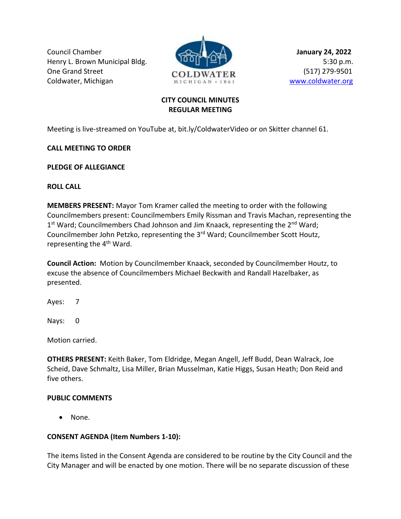Council Chamber **January 24, 2022** Henry L. Brown Municipal Bldg. **1999 and 1999 p.m.** 5:30 p.m. One Grand Street **COLOWATED** (517) 279-9501 Coldwater, Michigan MICHIGAN · 1861 WWW.coldwater.org



# **CITY COUNCIL MINUTES REGULAR MEETING**

Meeting is live-streamed on YouTube at, bit.ly/ColdwaterVideo or on Skitter channel 61.

**CALL MEETING TO ORDER**

**PLEDGE OF ALLEGIANCE**

**ROLL CALL**

**MEMBERS PRESENT:** Mayor Tom Kramer called the meeting to order with the following Councilmembers present: Councilmembers Emily Rissman and Travis Machan, representing the 1<sup>st</sup> Ward; Councilmembers Chad Johnson and Jim Knaack, representing the 2<sup>nd</sup> Ward; Councilmember John Petzko, representing the 3rd Ward; Councilmember Scott Houtz, representing the  $4<sup>th</sup>$  Ward.

**Council Action:** Motion by Councilmember Knaack, seconded by Councilmember Houtz, to excuse the absence of Councilmembers Michael Beckwith and Randall Hazelbaker, as presented.

Ayes: 7

Nays: 0

Motion carried.

**OTHERS PRESENT:** Keith Baker, Tom Eldridge, Megan Angell, Jeff Budd, Dean Walrack, Joe Scheid, Dave Schmaltz, Lisa Miller, Brian Musselman, Katie Higgs, Susan Heath; Don Reid and five others.

# **PUBLIC COMMENTS**

• None.

# **CONSENT AGENDA (Item Numbers 1-10):**

The items listed in the Consent Agenda are considered to be routine by the City Council and the City Manager and will be enacted by one motion. There will be no separate discussion of these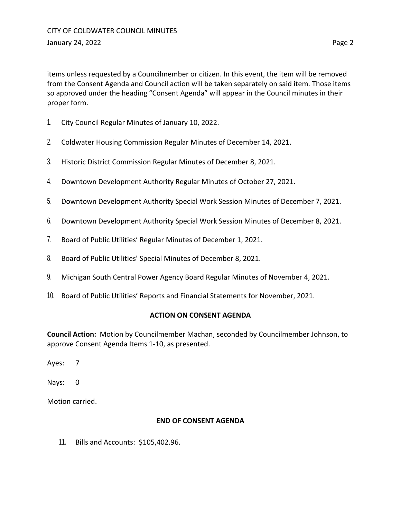items unless requested by a Councilmember or citizen. In this event, the item will be removed from the Consent Agenda and Council action will be taken separately on said item. Those items so approved under the heading "Consent Agenda" will appear in the Council minutes in their proper form.

- 1. City Council Regular Minutes of January 10, 2022.
- 2. Coldwater Housing Commission Regular Minutes of December 14, 2021.
- 3. Historic District Commission Regular Minutes of December 8, 2021.
- 4. Downtown Development Authority Regular Minutes of October 27, 2021.
- 5. Downtown Development Authority Special Work Session Minutes of December 7, 2021.
- 6. Downtown Development Authority Special Work Session Minutes of December 8, 2021.
- 7. Board of Public Utilities' Regular Minutes of December 1, 2021.
- 8. Board of Public Utilities' Special Minutes of December 8, 2021.
- 9. Michigan South Central Power Agency Board Regular Minutes of November 4, 2021.
- 10. Board of Public Utilities' Reports and Financial Statements for November, 2021.

#### **ACTION ON CONSENT AGENDA**

**Council Action:** Motion by Councilmember Machan, seconded by Councilmember Johnson, to approve Consent Agenda Items 1-10, as presented.

Ayes: 7

Nays: 0

Motion carried.

#### **END OF CONSENT AGENDA**

11. Bills and Accounts: \$105,402.96.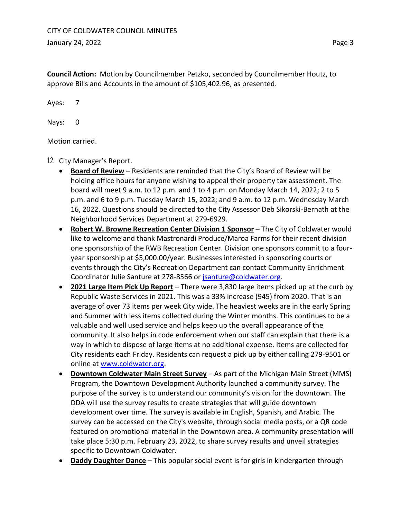**Council Action:** Motion by Councilmember Petzko, seconded by Councilmember Houtz, to approve Bills and Accounts in the amount of \$105,402.96, as presented.

Ayes: 7

Nays: 0

Motion carried.

- 12. City Manager's Report.
	- **Board of Review** Residents are reminded that the City's Board of Review will be holding office hours for anyone wishing to appeal their property tax assessment. The board will meet 9 a.m. to 12 p.m. and 1 to 4 p.m. on Monday March 14, 2022; 2 to 5 p.m. and 6 to 9 p.m. Tuesday March 15, 2022; and 9 a.m. to 12 p.m. Wednesday March 16, 2022. Questions should be directed to the City Assessor Deb Sikorski-Bernath at the Neighborhood Services Department at 279-6929.
	- **Robert W. Browne Recreation Center Division 1 Sponsor** The City of Coldwater would like to welcome and thank Mastronardi Produce/Maroa Farms for their recent division one sponsorship of the RWB Recreation Center. Division one sponsors commit to a fouryear sponsorship at \$5,000.00/year. Businesses interested in sponsoring courts or events through the City's Recreation Department can contact Community Enrichment Coordinator Julie Santure at 278-8566 or [jsanture@coldwater.org.](mailto:jsanture@coldwater.org)
	- **2021 Large Item Pick Up Report** There were 3,830 large items picked up at the curb by Republic Waste Services in 2021. This was a 33% increase (945) from 2020. That is an average of over 73 items per week City wide. The heaviest weeks are in the early Spring and Summer with less items collected during the Winter months. This continues to be a valuable and well used service and helps keep up the overall appearance of the community. It also helps in code enforcement when our staff can explain that there is a way in which to dispose of large items at no additional expense. Items are collected for City residents each Friday. Residents can request a pick up by either calling 279-9501 or online at [www.coldwater.org.](http://www.coldwater.org/)
	- **Downtown Coldwater Main Street Survey** As part of the Michigan Main Street (MMS) Program, the Downtown Development Authority launched a community survey. The purpose of the survey is to understand our community's vision for the downtown. The DDA will use the survey results to create strategies that will guide downtown development over time. The survey is available in English, Spanish, and Arabic. The survey can be accessed on the City's website, through social media posts, or a QR code featured on promotional material in the Downtown area. A community presentation will take place 5:30 p.m. February 23, 2022, to share survey results and unveil strategies specific to Downtown Coldwater.
	- **Daddy Daughter Dance** This popular social event is for girls in kindergarten through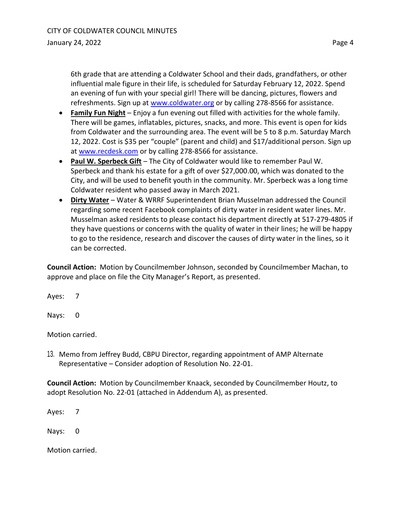6th grade that are attending a Coldwater School and their dads, grandfathers, or other influential male figure in their life, is scheduled for Saturday February 12, 2022. Spend an evening of fun with your special girl! There will be dancing, pictures, flowers and refreshments. Sign up at [www.coldwater.org](http://www.coldwater.org/) or by calling 278-8566 for assistance.

- **Family Fun Night** Enjoy a fun evening out filled with activities for the whole family. There will be games, inflatables, pictures, snacks, and more. This event is open for kids from Coldwater and the surrounding area. The event will be 5 to 8 p.m. Saturday March 12, 2022. Cost is \$35 per "couple" (parent and child) and \$17/additional person. Sign up at [www.recdesk.com](http://www.recdesk.com/) or by calling 278-8566 for assistance.
- **Paul W. Sperbeck Gift** The City of Coldwater would like to remember Paul W. Sperbeck and thank his estate for a gift of over \$27,000.00, which was donated to the City, and will be used to benefit youth in the community. Mr. Sperbeck was a long time Coldwater resident who passed away in March 2021.
- **Dirty Water** Water & WRRF Superintendent Brian Musselman addressed the Council regarding some recent Facebook complaints of dirty water in resident water lines. Mr. Musselman asked residents to please contact his department directly at 517-279-4805 if they have questions or concerns with the quality of water in their lines; he will be happy to go to the residence, research and discover the causes of dirty water in the lines, so it can be corrected.

**Council Action:** Motion by Councilmember Johnson, seconded by Councilmember Machan, to approve and place on file the City Manager's Report, as presented.

Ayes: 7

Nays: 0

Motion carried.

13. Memo from Jeffrey Budd, CBPU Director, regarding appointment of AMP Alternate Representative – Consider adoption of Resolution No. 22-01.

**Council Action:** Motion by Councilmember Knaack, seconded by Councilmember Houtz, to adopt Resolution No. 22-01 (attached in Addendum A), as presented.

Ayes: 7

Nays: 0

Motion carried.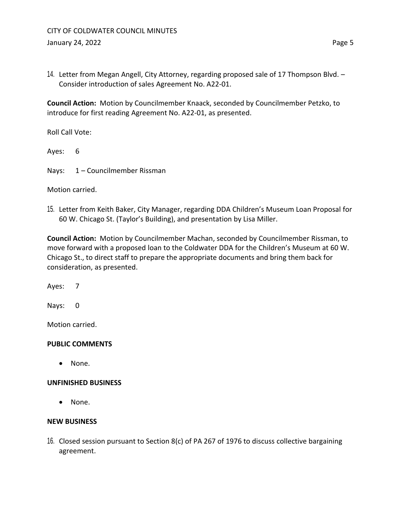14. Letter from Megan Angell, City Attorney, regarding proposed sale of 17 Thompson Blvd. – Consider introduction of sales Agreement No. A22-01.

**Council Action:** Motion by Councilmember Knaack, seconded by Councilmember Petzko, to introduce for first reading Agreement No. A22-01, as presented.

Roll Call Vote:

Ayes: 6

Nays: 1 – Councilmember Rissman

### Motion carried.

15. Letter from Keith Baker, City Manager, regarding DDA Children's Museum Loan Proposal for 60 W. Chicago St. (Taylor's Building), and presentation by Lisa Miller.

**Council Action:** Motion by Councilmember Machan, seconded by Councilmember Rissman, to move forward with a proposed loan to the Coldwater DDA for the Children's Museum at 60 W. Chicago St., to direct staff to prepare the appropriate documents and bring them back for consideration, as presented.

Ayes: 7

Nays: 0

Motion carried.

# **PUBLIC COMMENTS**

• None.

### **UNFINISHED BUSINESS**

• None.

### **NEW BUSINESS**

16. Closed session pursuant to Section 8(c) of PA 267 of 1976 to discuss collective bargaining agreement.